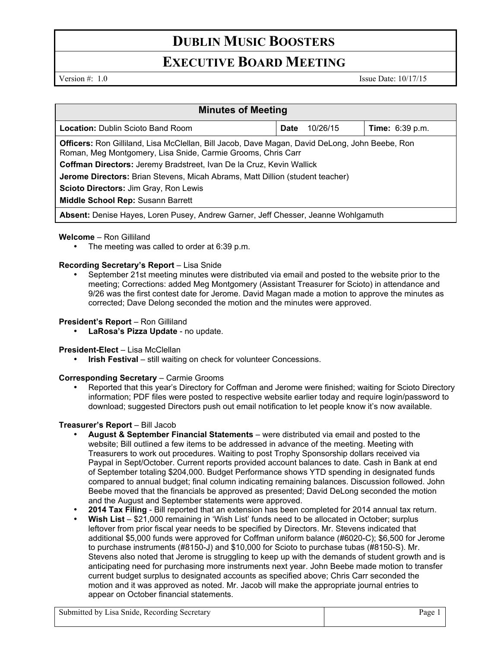# **DUBLIN MUSIC BOOSTERS**

## **EXECUTIVE BOARD MEETING**

Version #: 1.0 Issue Date: 10/17/15

| <b>Minutes of Meeting</b>                                                                                                                                             |             |          |                        |
|-----------------------------------------------------------------------------------------------------------------------------------------------------------------------|-------------|----------|------------------------|
| <b>Location:</b> Dublin Scioto Band Room                                                                                                                              | <b>Date</b> | 10/26/15 | <b>Time:</b> 6:39 p.m. |
| <b>Officers:</b> Ron Gilliland, Lisa McClellan, Bill Jacob, Dave Magan, David DeLong, John Beebe, Ron<br>Roman, Meg Montgomery, Lisa Snide, Carmie Grooms, Chris Carr |             |          |                        |
| Coffman Directors: Jeremy Bradstreet, Ivan De la Cruz, Kevin Wallick                                                                                                  |             |          |                        |
| Jerome Directors: Brian Stevens, Micah Abrams, Matt Dillion (student teacher)                                                                                         |             |          |                        |
| Scioto Directors: Jim Gray, Ron Lewis                                                                                                                                 |             |          |                        |
| <b>Middle School Rep: Susann Barrett</b>                                                                                                                              |             |          |                        |
| Absent: Denise Hayes, Loren Pusey, Andrew Garner, Jeff Chesser, Jeanne Wohlgamuth                                                                                     |             |          |                        |

#### **Welcome** – Ron Gilliland

The meeting was called to order at 6:39 p.m.

#### **Recording Secretary's Report – Lisa Snide**

• September 21st meeting minutes were distributed via email and posted to the website prior to the meeting; Corrections: added Meg Montgomery (Assistant Treasurer for Scioto) in attendance and 9/26 was the first contest date for Jerome. David Magan made a motion to approve the minutes as corrected; Dave Delong seconded the motion and the minutes were approved.

#### **President's Report - Ron Gilliland**

• **LaRosa's Pizza Update** - no update.

#### **President-Elect** – Lisa McClellan

**Irish Festival** – still waiting on check for volunteer Concessions.

#### **Corresponding Secretary** – Carmie Grooms

• Reported that this year's Directory for Coffman and Jerome were finished; waiting for Scioto Directory information; PDF files were posted to respective website earlier today and require login/password to download; suggested Directors push out email notification to let people know it's now available.

### **Treasurer's Report** – Bill Jacob

- **August & September Financial Statements** were distributed via email and posted to the website; Bill outlined a few items to be addressed in advance of the meeting. Meeting with Treasurers to work out procedures. Waiting to post Trophy Sponsorship dollars received via Paypal in Sept/October. Current reports provided account balances to date. Cash in Bank at end of September totaling \$204,000. Budget Performance shows YTD spending in designated funds compared to annual budget; final column indicating remaining balances. Discussion followed. John Beebe moved that the financials be approved as presented; David DeLong seconded the motion and the August and September statements were approved.
- **2014 Tax Filing**  Bill reported that an extension has been completed for 2014 annual tax return.
- **Wish List**  \$21,000 remaining in 'Wish List' funds need to be allocated in October; surplus leftover from prior fiscal year needs to be specified by Directors. Mr. Stevens indicated that additional \$5,000 funds were approved for Coffman uniform balance (#6020-C); \$6,500 for Jerome to purchase instruments (#8150-J) and \$10,000 for Scioto to purchase tubas (#8150-S). Mr. Stevens also noted that Jerome is struggling to keep up with the demands of student growth and is anticipating need for purchasing more instruments next year. John Beebe made motion to transfer current budget surplus to designated accounts as specified above; Chris Carr seconded the motion and it was approved as noted. Mr. Jacob will make the appropriate journal entries to appear on October financial statements.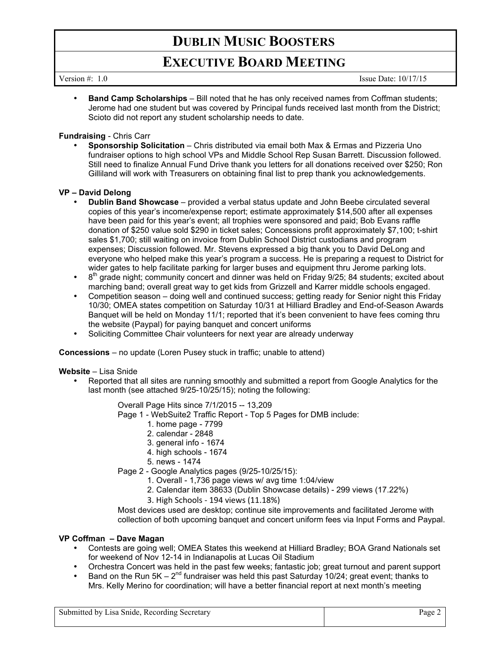# **DUBLIN MUSIC BOOSTERS**

## **EXECUTIVE BOARD MEETING**

Version #: 1.0 Issue Date: 10/17/15

**Band Camp Scholarships** – Bill noted that he has only received names from Coffman students; Jerome had one student but was covered by Principal funds received last month from the District; Scioto did not report any student scholarship needs to date.

#### **Fundraising** - Chris Carr

• **Sponsorship Solicitation** – Chris distributed via email both Max & Ermas and Pizzeria Uno fundraiser options to high school VPs and Middle School Rep Susan Barrett. Discussion followed. Still need to finalize Annual Fund Drive thank you letters for all donations received over \$250; Ron Gilliland will work with Treasurers on obtaining final list to prep thank you acknowledgements.

#### **VP – David Delong**

- **Dublin Band Showcase** provided a verbal status update and John Beebe circulated several copies of this year's income/expense report; estimate approximately \$14,500 after all expenses have been paid for this year's event; all trophies were sponsored and paid; Bob Evans raffle donation of \$250 value sold \$290 in ticket sales; Concessions profit approximately \$7,100; t-shirt sales \$1,700; still waiting on invoice from Dublin School District custodians and program expenses; Discussion followed. Mr. Stevens expressed a big thank you to David DeLong and everyone who helped make this year's program a success. He is preparing a request to District for wider gates to help facilitate parking for larger buses and equipment thru Jerome parking lots.
- 8<sup>th</sup> grade night; community concert and dinner was held on Friday 9/25; 84 students; excited about marching band; overall great way to get kids from Grizzell and Karrer middle schools engaged.
- Competition season doing well and continued success; getting ready for Senior night this Friday 10/30; OMEA states competition on Saturday 10/31 at Hilliard Bradley and End-of-Season Awards Banquet will be held on Monday 11/1; reported that it's been convenient to have fees coming thru the website (Paypal) for paying banquet and concert uniforms
- Soliciting Committee Chair volunteers for next year are already underway

**Concessions** – no update (Loren Pusey stuck in traffic; unable to attend)

#### **Website** – Lisa Snide

• Reported that all sites are running smoothly and submitted a report from Google Analytics for the last month (see attached 9/25-10/25/15); noting the following:

Overall Page Hits since 7/1/2015 -- 13,209

- Page 1 WebSuite2 Traffic Report Top 5 Pages for DMB include:
	- 1. home page 7799
	- 2. calendar 2848
	- 3. general info 1674
	- 4. high schools 1674
	- 5. news 1474
- Page 2 Google Analytics pages (9/25-10/25/15):
	- 1. Overall 1,736 page views w/ avg time 1:04/view
	- 2. Calendar item 38633 (Dublin Showcase details) 299 views (17.22%)
	- 3. High Schools - 194 views (11.18%)

Most devices used are desktop; continue site improvements and facilitated Jerome with collection of both upcoming banquet and concert uniform fees via Input Forms and Paypal.

#### **VP Coffman – Dave Magan**

- Contests are going well; OMEA States this weekend at Hilliard Bradley; BOA Grand Nationals set for weekend of Nov 12-14 in Indianapolis at Lucas Oil Stadium
- Orchestra Concert was held in the past few weeks; fantastic job; great turnout and parent support
- Band on the Run 5K  $2^{nd}$  fundraiser was held this past Saturday 10/24; great event; thanks to Mrs. Kelly Merino for coordination; will have a better financial report at next month's meeting